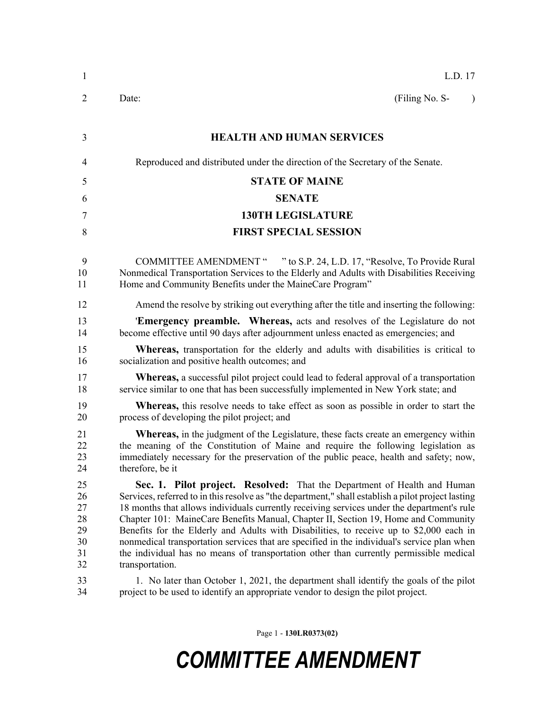| $\mathbf{1}$                                 | L.D. 17                                                                                                                                                                                                                                                                                                                                                                                                                                                                                                                                                                                                                                                                   |  |  |  |
|----------------------------------------------|---------------------------------------------------------------------------------------------------------------------------------------------------------------------------------------------------------------------------------------------------------------------------------------------------------------------------------------------------------------------------------------------------------------------------------------------------------------------------------------------------------------------------------------------------------------------------------------------------------------------------------------------------------------------------|--|--|--|
| 2                                            | (Filing No. S-<br>Date:<br>$\lambda$                                                                                                                                                                                                                                                                                                                                                                                                                                                                                                                                                                                                                                      |  |  |  |
| 3                                            | <b>HEALTH AND HUMAN SERVICES</b>                                                                                                                                                                                                                                                                                                                                                                                                                                                                                                                                                                                                                                          |  |  |  |
| $\overline{4}$                               | Reproduced and distributed under the direction of the Secretary of the Senate.                                                                                                                                                                                                                                                                                                                                                                                                                                                                                                                                                                                            |  |  |  |
| 5                                            | <b>STATE OF MAINE</b>                                                                                                                                                                                                                                                                                                                                                                                                                                                                                                                                                                                                                                                     |  |  |  |
| 6                                            | <b>SENATE</b>                                                                                                                                                                                                                                                                                                                                                                                                                                                                                                                                                                                                                                                             |  |  |  |
| 7                                            | <b>130TH LEGISLATURE</b>                                                                                                                                                                                                                                                                                                                                                                                                                                                                                                                                                                                                                                                  |  |  |  |
| 8                                            | <b>FIRST SPECIAL SESSION</b>                                                                                                                                                                                                                                                                                                                                                                                                                                                                                                                                                                                                                                              |  |  |  |
| 9<br>10<br>11                                | COMMITTEE AMENDMENT " " to S.P. 24, L.D. 17, "Resolve, To Provide Rural<br>Nonmedical Transportation Services to the Elderly and Adults with Disabilities Receiving<br>Home and Community Benefits under the MaineCare Program"                                                                                                                                                                                                                                                                                                                                                                                                                                           |  |  |  |
| 12                                           | Amend the resolve by striking out everything after the title and inserting the following:                                                                                                                                                                                                                                                                                                                                                                                                                                                                                                                                                                                 |  |  |  |
| 13<br>14                                     | <b>Emergency preamble.</b> Whereas, acts and resolves of the Legislature do not<br>become effective until 90 days after adjournment unless enacted as emergencies; and                                                                                                                                                                                                                                                                                                                                                                                                                                                                                                    |  |  |  |
| 15<br>16                                     | <b>Whereas,</b> transportation for the elderly and adults with disabilities is critical to<br>socialization and positive health outcomes; and                                                                                                                                                                                                                                                                                                                                                                                                                                                                                                                             |  |  |  |
| 17<br>18                                     | <b>Whereas,</b> a successful pilot project could lead to federal approval of a transportation<br>service similar to one that has been successfully implemented in New York state; and                                                                                                                                                                                                                                                                                                                                                                                                                                                                                     |  |  |  |
| 19<br>20                                     | <b>Whereas</b> , this resolve needs to take effect as soon as possible in order to start the<br>process of developing the pilot project; and                                                                                                                                                                                                                                                                                                                                                                                                                                                                                                                              |  |  |  |
| 21<br>22<br>23<br>24                         | <b>Whereas,</b> in the judgment of the Legislature, these facts create an emergency within<br>the meaning of the Constitution of Maine and require the following legislation as<br>immediately necessary for the preservation of the public peace, health and safety; now,<br>therefore, be it                                                                                                                                                                                                                                                                                                                                                                            |  |  |  |
| 25<br>26<br>27<br>28<br>29<br>30<br>31<br>32 | Sec. 1. Pilot project. Resolved: That the Department of Health and Human<br>Services, referred to in this resolve as "the department," shall establish a pilot project lasting<br>18 months that allows individuals currently receiving services under the department's rule<br>Chapter 101: MaineCare Benefits Manual, Chapter II, Section 19, Home and Community<br>Benefits for the Elderly and Adults with Disabilities, to receive up to \$2,000 each in<br>nonmedical transportation services that are specified in the individual's service plan when<br>the individual has no means of transportation other than currently permissible medical<br>transportation. |  |  |  |
| 33<br>34                                     | 1. No later than October 1, 2021, the department shall identify the goals of the pilot<br>project to be used to identify an appropriate vendor to design the pilot project.                                                                                                                                                                                                                                                                                                                                                                                                                                                                                               |  |  |  |

Page 1 - **130LR0373(02)**

# *COMMITTEE AMENDMENT*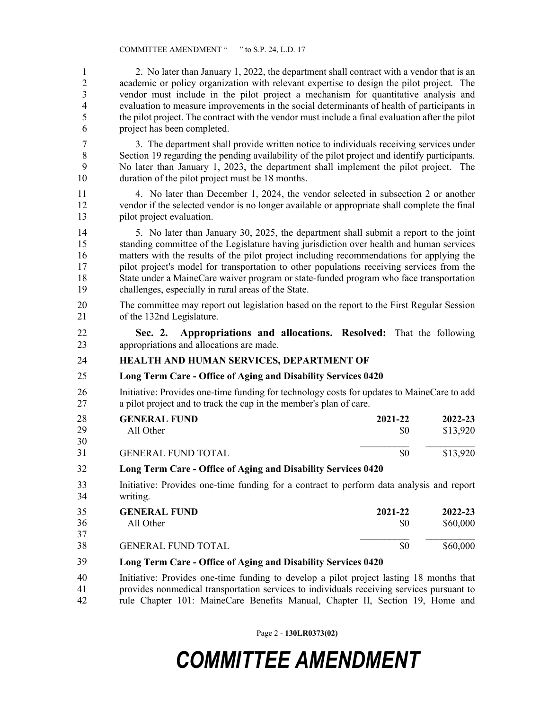1 2. No later than January 1, 2022, the department shall contract with a vendor that is an 2 academic or policy organization with relevant expertise to design the pilot project. The 3 vendor must include in the pilot project a mechanism for quantitative analysis and 4 evaluation to measure improvements in the social determinants of health of participants in 5 the pilot project. The contract with the vendor must include a final evaluation after the pilot 6 project has been completed.

7 3. The department shall provide written notice to individuals receiving services under 8 Section 19 regarding the pending availability of the pilot project and identify participants. 9 No later than January 1, 2023, the department shall implement the pilot project. The 10 duration of the pilot project must be 18 months.

11 4. No later than December 1, 2024, the vendor selected in subsection 2 or another 12 vendor if the selected vendor is no longer available or appropriate shall complete the final 13 pilot project evaluation.

14 5. No later than January 30, 2025, the department shall submit a report to the joint 15 standing committee of the Legislature having jurisdiction over health and human services 16 matters with the results of the pilot project including recommendations for applying the 17 pilot project's model for transportation to other populations receiving services from the 18 State under a MaineCare waiver program or state-funded program who face transportation 19 challenges, especially in rural areas of the State.

20 The committee may report out legislation based on the report to the First Regular Session 21 of the 132nd Legislature.

22 **Sec. 2. Appropriations and allocations. Resolved:** That the following 23 appropriations and allocations are made.

## 24 **HEALTH AND HUMAN SERVICES, DEPARTMENT OF**

## 25 **Long Term Care - Office of Aging and Disability Services 0420**

26 Initiative: Provides one-time funding for technology costs for updates to MaineCare to add 27 a pilot project and to track the cap in the member's plan of care.

| 28 | <b>GENERAL FUND</b>       | 2021-22 | 2022-23  |
|----|---------------------------|---------|----------|
| 29 | All Other                 | SO.     | \$13,920 |
| 30 |                           |         |          |
| 31 | <b>GENERAL FUND TOTAL</b> | \$0     | \$13,920 |

#### 28 **Long Term Care - Office of Aging and Disability Services 0420** 32

33 Initiative: Provides one-time funding for a contract to perform data analysis and report 34 writing.

| 35           | <b>GENERAL FUND</b>                                                                                                                     | 2021-22 | 2022-23  |
|--------------|-----------------------------------------------------------------------------------------------------------------------------------------|---------|----------|
| 36           | All Other                                                                                                                               | \$0     | \$60,000 |
| 37           |                                                                                                                                         |         |          |
| 38           | <b>GENERAL FUND TOTAL</b>                                                                                                               | \$0     | \$60,000 |
| $20^{\circ}$ | $\mathbf{I}$ Then $\mathbf{O}$ $\mathbf{O}$ $\mathbf{C}$ $\mathbf{f}$ is the set of $\mathbf{N}$ $\mathbf{I}$ $\mathbf{O}$ $\mathbf{A}$ |         |          |

#### 35 **Long Term Care - Office of Aging and Disability Services 0420** 39

40 Initiative: Provides one-time funding to develop a pilot project lasting 18 months that 41 provides nonmedical transportation services to individuals receiving services pursuant to 42 rule Chapter 101: MaineCare Benefits Manual, Chapter II, Section 19, Home and

Page 2 - **130LR0373(02)**

## *COMMITTEE AMENDMENT*